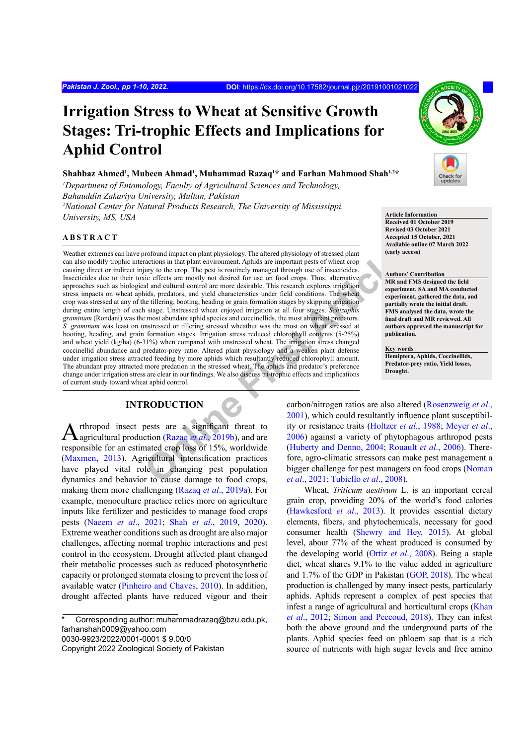# **Irrigation Stress to Wheat at Sensitive Growth Stages: Tri-trophic Effects and Implications for Aphid Control**

 $\boldsymbol{\mathrm{Sh}}$ ahaz Ahmed<sup>1</sup>, Mubeen Ahmad<sup>1</sup>, Muhammad Razaq<sup>1</sup>\* and Farhan Mahmood Shah<sup>1,2\*</sup>

*1 Department of Entomology, Faculty of Agricultural Sciences and Technology, Bahauddin Zakariya University, Multan, Pakistan 2 National Center for Natural Products Research, The University of Mississippi,* 

*University, MS, USA* **Article Information** 

#### **ABSTRACT**

First Contoined impact on plant physiology. The altered physiology of stressed plant<br>
marticles in that plant arevironment. Aphids are important peas of wheat crops<br>
in this plant are theres is routinely managed through us Weather extremes can have profound impact on plant physiology. The altered physiology of stressed plant can also modify trophic interactions in that plant environment. Aphids are important pests of wheat crop causing direct or indirect injury to the crop. The pest is routinely managed through use of insecticides. Insecticides due to their toxic effects are mostly not desired for use on food crops. Thus, alternative approaches such as biological and cultural control are more desirable. This research explores irrigation stress impacts on wheat aphids, predators, and yield characteristics under field conditions. The wheat crop was stressed at any of the tillering, booting, heading or grain formation stages by skipping irrigation during entire length of each stage. Unstressed wheat enjoyed irrigation at all four stages. *Schizaphis graminum* (Rondani) was the most abundant aphid species and coccinellids, the most abundant predators. *S. graminum* was least on unstressed or tillering stressed wheatbut was the most on wheat stressed at booting, heading, and grain formation stages. Irrigation stress reduced chlorophyll contents (5-25%) and wheat yield (kg/ha) (6-31%) when compared with unstressed wheat. The irrigation stress changed coccinellid abundance and predator-prey ratio. Altered plant physiology and a weaken plant defense under irrigation stress attracted feeding by more aphids which resultantly reduced chlorophyll amount. The abundant prey attracted more predation in the stressed wheat. The aphids and predator's preference change under irrigation stress are clear in our findings. We also discuss tri-trophic effects and implications of current study toward wheat aphid control.

# **INTRODUCTION**

Arthropod insect pests are a significant threat to agricultural production (Razaq *et al.*, 2019b), and are responsible for an estimated crop loss of 15%, worldwide [\(Maxmen, 2013](#page-7-0)). Agricultural intensification practices have played vital role in changing pest population dynamics and behavior to cause damage to food crops, making them more challenging (Razaq *et al*[., 2019a\)](#page-8-1). For example, monoculture practice relies more on agriculture inputs like fertilizer and pesticides to manage food crops pests (Naeem *et al*., 2021; Shah *et al*[., 2019](#page-8-2), [2020](#page-8-3)). Extreme weather conditions such as drought are also major challenges, affecting normal trophic interactions and pest control in the ecosystem. Drought affected plant changed their metabolic processes such as reduced photosynthetic capacity or prolonged stomata closing to prevent the loss of available water [\(Pinheiro and Chaves, 2010\)](#page-8-4). In addition, drought affected plants have reduced vigour and their

Corresponding author: muhammadrazaq@bzu.edu.pk, farhanshah0009@yahoo.com 0030-9923/2022/0001-0001 \$ 9.00/0



**Received 01 October 2019 Revised 03 October 2021**

**Accepted 15 October, 2021 Available online 07 March 2022 (early access)**

#### **Authors' Contribution**

**MR and FMS designed the field experiment. SA and MA conducted experiment, gathered the data, and partially wrote the initial draft. FMS analysed the data, wrote the final draft and MR reviewed. All authors approved the manuscript for publication.**

#### **Key words**

**Hemiptera, Aphids, Coccinellids, Predator-prey ratio, Yield losses, Drought.**

carbon/nitrogen ratios are also altered [\(Rosenzweig](#page-8-5) *et al*., 2001), which could resultantly influence plant susceptibility or resistance traits (Holtzer *et al*., 1988; [Meyer](#page-7-1) *et al*., 2006) against a variety of phytophagous arthropod pests (Huberty and Denno, 2004; Rouault *et al*., 2006). Therefore, agro-climatic stressors can make pest management a bigger challenge for pest managers on food crops [\(Noman](#page-8-6) *et al*., 2021; Tubiello *et al*., 2008).

Wheat, *Triticum aestivum* L. is an important cereal grain crop, providing 20% of the world's food calories [\(Hawkesford](#page-6-1) *et al*., 2013). It provides essential dietary elements, fibers, and phytochemicals, necessary for good consumer health [\(Shewry and Hey, 2015\)](#page-8-7). At global level, about 77% of the wheat produced is consumed by the developing world (Ortiz *et al*[., 2008](#page-8-8)). Being a staple diet, wheat shares 9.1% to the value added in agriculture and 1.7% of the GDP in Pakistan ([GOP, 2018](#page-6-2)). The wheat production is challenged by many insect pests, particularly aphids. Aphids represent a complex of pest species that infest a range of agricultural and horticultural crops [\(Khan](#page-7-3) *et al*[., 2012;](#page-7-3) [Simon and Peccoud, 2018\)](#page-8-9). They can infest both the above ground and the underground parts of the plants. Aphid species feed on phloem sap that is a rich source of nutrients with high sugar levels and free amino

Copyright 2022 Zoological Society of Pakistan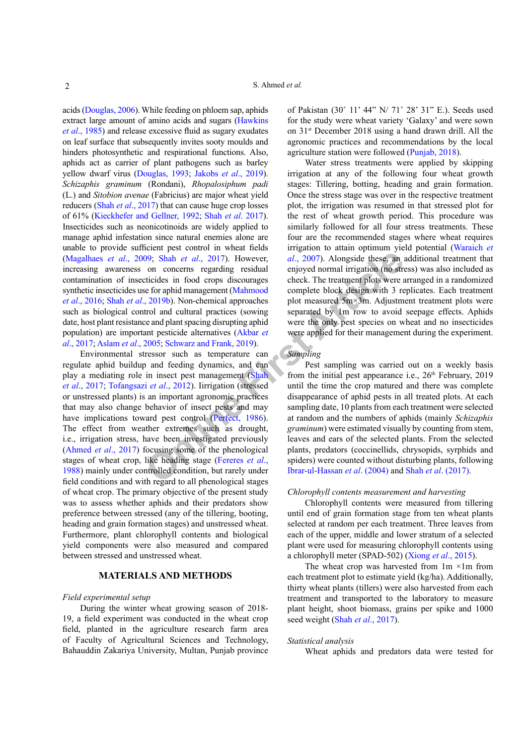acids [\(Douglas, 2006\)](#page-6-3). While feeding on phloem sap, aphids extract large amount of amino acids and sugars [\(Hawkins](#page-6-4) *et al*[., 1985](#page-6-4)) and release excessive fluid as sugary exudates on leaf surface that subsequently invites sooty moulds and hinders photosynthetic and respirational functions. Also, aphids act as carrier of plant pathogens such as barley yellow dwarf virus ([Douglas, 1993](#page-6-5); Jakobs *et al*., 2019). *Schizaphis graminum* (Rondani), *Rhopalosiphum padi* (L.) and *Sitobion avenae* (Fabricius) are major wheat yield reducers (Shah *et al*[., 2017](#page-8-10)) that can cause huge crop losses of 61% ([Kieckhefer and Gellner, 1992](#page-7-4); Shah *et al*[. 2017](#page-8-10)). Insecticides such as neonicotinoids are widely applied to manage aphid infestation since natural enemies alone are unable to provide sufficient pest control in wheat fields [\(Magalhaes](#page-7-5) *et al*., 2009; Shah *et al*., 2017). However, increasing awareness on concerns regarding residual contamination of insecticides in food crops discourages synthetic insecticides use for aphid management (Mahmood *et al*[., 2016](#page-7-6); Shah *et al*., 2019b). Non-chemical approaches such as biological control and cultural practices (sowing date, host plant resistance and plant spacing disrupting aphid population) are important pesticide alternatives (Akbar *et al*[., 2017](#page-5-0); [Aslam](#page-5-1) *et al*., 2005; Schwarz and Frank, 2019).

**Onlining the control of the state of the state of the product of the state of the product of the state of the product of the state of the product and plant spacing terminal practice state of the method of the tractment pl** Environmental stressor such as temperature can regulate aphid buildup and feeding dynamics, and can play a mediating role in insect pest management (Shah *et al*[., 2017;](#page-8-10) Tofangsazi *et al*., 2012). Iirrigation (stressed or unstressed plants) is an important agronomic practices that may also change behavior of insect pests and may have implications toward pest control (Perfect, 1986). The effect from weather extremes such as drought, i.e., irrigation stress, have been investigated previously [\(Ahmed](#page-5-2) *et al*., 2017) focusing some of the phenological stages of wheat crop, like heading stage (Fereres *et al*., [1988\)](#page-6-6) mainly under controlled condition, but rarely under field conditions and with regard to all phenological stages of wheat crop. The primary objective of the present study was to assess whether aphids and their predators show preference between stressed (any of the tillering, booting, heading and grain formation stages) and unstressed wheat. Furthermore, plant chlorophyll contents and biological yield components were also measured and compared between stressed and unstressed wheat.

# **MATERIALS AND METHODS**

#### *Field experimental setup*

During the winter wheat growing season of 2018- 19, a field experiment was conducted in the wheat crop field, planted in the agriculture research farm area of Faculty of Agricultural Sciences and Technology, Bahauddin Zakariya University, Multan, Punjab province of Pakistan (30˚ 11' 44" N/ 71˚ 28' 31" E.). Seeds used for the study were wheat variety 'Galaxy' and were sown on 31st December 2018 using a hand drawn drill. All the agronomic practices and recommendations by the local agriculture station were followed [\(Punjab, 2018\)](#page-8-13).

Water stress treatments were applied by skipping irrigation at any of the following four wheat growth stages: Tillering, botting, heading and grain formation. Once the stress stage was over in the respective treatment plot, the irrigation was resumed in that stressed plot for the rest of wheat growth period. This procedure was similarly followed for all four stress treatments. These four are the recommended stages where wheat requires irrigation to attain optimum yield potential (Waraich *et al*., 2007). Alongside these, an additional treatment that enjoyed normal irrigation (no stress) was also included as check. The treatment plots were arranged in a randomized complete block design with 3 replicates. Each treatment plot measured 5m×3m. Adjustment treatment plots were separated by 1m row to avoid seepage effects. Aphids were the only pest species on wheat and no insecticides were applied for their management during the experiment.

# *Sampling*

Pest sampling was carried out on a weekly basis from the initial pest appearance i.e.,  $26<sup>th</sup>$  February, 2019 until the time the crop matured and there was complete disappearance of aphid pests in all treated plots. At each sampling date, 10 plants from each treatment were selected at random and the numbers of aphids (mainly *Schizaphis graminum*) were estimated visually by counting from stem, leaves and ears of the selected plants. From the selected plants, predators (coccinellids, chrysopids, syrphids and spiders) were counted without disturbing plants, following Ibrar-ul-Hassan *et al*. (2004) and Shah *et al*[. \(2017\)](#page-8-10).

#### *Chlorophyll contents measurement and harvesting*

Chlorophyll contents were measured from tillering until end of grain formation stage from ten wheat plants selected at random per each treatment. Three leaves from each of the upper, middle and lower stratum of a selected plant were used for measuring chlorophyll contents using a chlorophyll meter (SPAD-502) (Xiong *et al*., 2015).

The wheat crop was harvested from  $1m \times 1m$  from each treatment plot to estimate yield (kg/ha). Additionally, thirty wheat plants (tillers) were also harvested from each treatment and transported to the laboratory to measure plant height, shoot biomass, grains per spike and 1000 seed weight (Shah *et al*[., 2017\)](#page-8-10).

#### *Statistical analysis*

Wheat aphids and predators data were tested for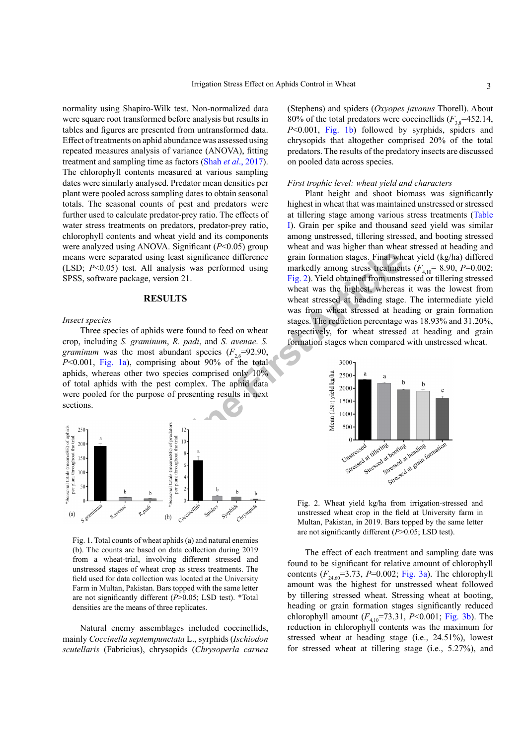normality using Shapiro-Wilk test. Non-normalized data were square root transformed before analysis but results in tables and figures are presented from untransformed data. Effect of treatments on aphid abundance was assessed using repeated measures analysis of variance (ANOVA), fitting treatment and sampling time as factors (Shah *et al*[., 2017](#page-8-10)). The chlorophyll contents measured at various sampling dates were similarly analysed. Predator mean densities per plant were pooled across sampling dates to obtain seasonal totals. The seasonal counts of pest and predators were further used to calculate predator-prey ratio. The effects of water stress treatments on predators, predator-prey ratio, chlorophyll contents and wheat yield and its components were analyzed using ANOVA. Significant (*P*<0.05) group means were separated using least significance difference (LSD; *P*<0.05) test. All analysis was performed using SPSS, software package, version 21.

#### **RESULTS**

#### *Insect species*

Three species of aphids were found to feed on wheat crop, including *S. graminum*, *R. padi*, and *S. avenae*. *S. graminum* was the most abundant species  $(F_{26} = 92.90)$ ,  $P<0.001$ , [Fig. 1a\)](#page-2-0), comprising about 90% of the total aphids, whereas other two species comprised only 10% of total aphids with the pest complex. The aphid data were pooled for the purpose of presenting results in next sections.



<span id="page-2-0"></span>Fig. 1. Total counts of wheat aphids (a) and natural enemies (b). The counts are based on data collection during 2019 from a wheat-trial, involving different stressed and unstressed stages of wheat crop as stress treatments. The field used for data collection was located at the University Farm in Multan, Pakistan. Bars topped with the same letter are not significantly different (*P*>0.05; LSD test). \*Total densities are the means of three replicates.

Natural enemy assemblages included coccinellids, mainly *Coccinella septempunctata* L., syrphids (*Ischiodon scutellaris* (Fabricius), chrysopids (*Chrysoperla carnea* 

(Stephens) and spiders (*Oxyopes javanus* Thorell). About 80% of the total predators were coccinellids  $(F_{3,8}=452.14,$ *P*<0.001, [Fig. 1b](#page-2-0)) followed by syrphids, spiders and chrysopids that altogether comprised 20% of the total predators. The results of the predatory insects are discussed on pooled data across species.

#### *First trophic level: wheat yield and characters*

using least significance difference<br>
e, version 21.<br>
NII analysis was performed using<br>
e, version 21.<br> **RESULTS**<br>
wheat stressed at heading stress<br>
was then highest, where the stages.<br>
Weat was the highest, where the stage Plant height and shoot biomass was significantly highest in wheat that was maintained unstressed or stressed at tillering stage among various stress treatments (Table I). Grain per spike and thousand seed yield was similar among unstressed, tillering stressed, and booting stressed wheat and was higher than wheat stressed at heading and grain formation stages. Final wheat yield (kg/ha) differed markedly among stress treatments  $(F_{4,10} = 8.90, P=0.002;$ Fig. 2). Yield obtained from unstressed or tillering stressed wheat was the highest, whereas it was the lowest from wheat stressed at heading stage. The intermediate yield was from wheat stressed at heading or grain formation stages. The reduction percentage was 18.93% and 31.20%, respectively, for wheat stressed at heading and grain formation stages when compared with unstressed wheat.



<span id="page-2-1"></span>Fig. 2. Wheat yield kg/ha from irrigation-stressed and unstressed wheat crop in the field at University farm in Multan, Pakistan, in 2019. Bars topped by the same letter are not significantly different ( $P$  > 0.05; LSD test).

The effect of each treatment and sampling date was found to be significant for relative amount of chlorophyll contents  $(F_{24,60} = 3.73, P = 0.002; Fig. 3a)$  $(F_{24,60} = 3.73, P = 0.002; Fig. 3a)$ . The chlorophyll amount was the highest for unstressed wheat followed by tillering stressed wheat. Stressing wheat at booting, heading or grain formation stages significantly reduced chlorophyll amount  $(F_{4,10} = 73.31, P < 0.001$ ; [Fig. 3](#page-3-0)b). The reduction in chlorophyll contents was the maximum for stressed wheat at heading stage (i.e., 24.51%), lowest for stressed wheat at tillering stage (i.e., 5.27%), and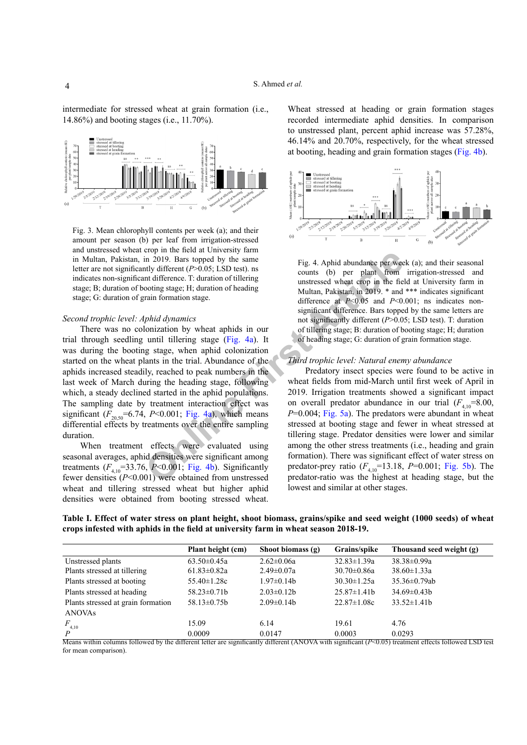intermediate for stressed wheat at grain formation (i.e., 14.86%) and booting stages (i.e., 11.70%).



<span id="page-3-0"></span>Fig. 3. Mean chlorophyll contents per week (a); and their amount per season (b) per leaf from irrigation-stressed and unstressed wheat crop in the field at University farm in Multan, Pakistan, in 2019. Bars topped by the same letter are not significantly different (*P*>0.05; LSD test). ns indicates non-significant difference. T: duration of tillering stage; B; duration of booting stage; H; duration of heading stage; G: duration of grain formation stage.

#### *Second trophic level: Aphid dynamics*

**Comprimeri[n](#page-3-1)g that end convert[in](#page-3-1)g tance)** and the media and the threat a consisting tage; H; duration of heading tage; H; duration of heading tage; H; duration of heading tage; H; duration of heading tage; H; duration of h There was no colonization by wheat aphids in our trial through seedling until tillering stage (Fig. 4a). It was during the booting stage, when aphid colonization started on the wheat plants in the trial. Abundance of the aphids increased steadily, reached to peak numbers in the last week of March during the heading stage, following which, a steady declined started in the aphid populations. The sampling date by treatment interaction effect was significant  $(F_{20.50} = 6.74, P < 0.001$ ; Fig. 4a), which means differential effects by treatments over the entire sampling duration.

When treatment effects were evaluated using seasonal averages, aphid densities were significant among treatments  $(F_{4,10} = 33.76, P < 0.001;$  Fig. 4b). Significantly fewer densities (*P*˂0.001) were obtained from unstressed wheat and tillering stressed wheat but higher aphid densities were obtained from booting stressed wheat.

Wheat stressed at heading or grain formation stages recorded intermediate aphid densities. In comparison to unstressed plant, percent aphid increase was 57.28%, 46.14% and 20.70%, respectively, for the wheat stressed at booting, heading and grain formation stages ([Fig. 4](#page-3-1)b).



<span id="page-3-1"></span>Fig. 4. Aphid abundance per week (a); and their seasonal counts (b) per plant from irrigation-stressed and unstressed wheat crop in the field at University farm in Multan, Pakistan, in 2019. \* and \*\*\* indicates significant difference at *P*<0.05 and *P*<0.001; ns indicates nonsignificant difference. Bars topped by the same letters are not significantly different (*P*>0.05; LSD test). T: duration of tillering stage; B: duration of booting stage; H; duration of heading stage; G: duration of grain formation stage.

#### *Third trophic level: Natural enemy abundance*

Predatory insect species were found to be active in wheat fields from mid-March until first week of April in 2019. Irrigation treatments showed a significant impact on overall predator abundance in our trial  $(F_{4,10} = 8.00)$ ,  $P=0.004$ ; Fig. 5a). The predators were abundant in wheat stressed at booting stage and fewer in wheat stressed at tillering stage. Predator densities were lower and similar among the other stress treatments (i.e., heading and grain formation). There was significant effect of water stress on predator-prey ratio  $(F_{4,10} = 13.18, P = 0.001;$  [Fig. 5](#page-4-0)b). The predator-ratio was the highest at heading stage, but the lowest and similar at other stages.

**Table I. Effect of water stress on plant height, shoot biomass, grains/spike and seed weight (1000 seeds) of wheat crops infested with aphids in the field at university farm in wheat season 2018-19.**

|                                    | Plant height (cm) | Shoot biomass $(g)$ | Grains/spike      | Thousand seed weight (g) |
|------------------------------------|-------------------|---------------------|-------------------|--------------------------|
| Unstressed plants                  | $63.50 \pm 0.45a$ | $2.62 \pm 0.06a$    | $32.83 \pm 1.39a$ | $38.38 \pm 0.99a$        |
| Plants stressed at tillering       | $61.83 \pm 0.82a$ | $2.49 \pm 0.07a$    | $30.70 \pm 0.86a$ | $38.60 \pm 1.33a$        |
| Plants stressed at booting         | $55.40 \pm 1.28c$ | $1.97 \pm 0.14b$    | $30.30 \pm 1.25a$ | $35.36 \pm 0.79$ ab      |
| Plants stressed at heading         | $58.23 \pm 0.71b$ | $2.03 \pm 0.12b$    | $25.87 \pm 1.41$  | $34.69 \pm 0.43 b$       |
| Plants stressed at grain formation | $58.13 \pm 0.75b$ | $2.09 \pm 0.14 b$   | $22.87 \pm 1.08c$ | $33.52 \pm 1.41b$        |
| <b>ANOVAs</b>                      |                   |                     |                   |                          |
| $F_{_{4,10}}$                      | 15.09             | 6.14                | 19.61             | 4.76                     |
| P                                  | 0.0009            | 0.0147              | 0.0003            | 0.0293                   |

Means within columns followed by the different letter are significantly different (ANOVA with significant (*P*<0.05) treatment effects followed LSD test for mean comparison).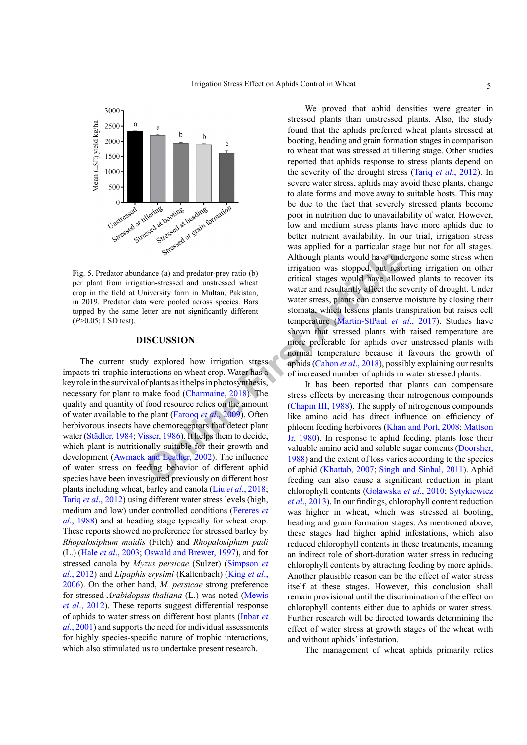

<span id="page-4-0"></span>Fig. 5. Predator abundance (a) and predator-prey ratio (b) per plant from irrigation-stressed and unstressed wheat crop in the field at University farm in Multan, Pakistan, in 2019. Predator data were pooled across species. Bars topped by the same letter are not significantly different (*P*˃0.05; LSD test).

#### **DISCUSSION**

Although plants would have und<br>increased and predator-prey ratio (b)<br>interaction-stressed and unstressed wheat<br>water are ritical stages would have allow<br>water are not significantly different water are stocknathly affect th The current study explored how irrigation stress impacts tri-trophic interactions on wheat crop. Water has a key role in the survival of plants as it helps in photosynthesis, necessary for plant to make food (Charmaine, 2018). The quality and quantity of food resource relies on the amount of water available to the plant (Farooq *et al*., 2009). Often herbivorous insects have chemoreceptors that detect plant water (Städler, 1984; Visser, 1986). It helps them to decide, which plant is nutritionally suitable for their growth and development ([Awmack and Leather, 2002](#page-6-9)). The influence of water stress on feeding behavior of different aphid species have been investigated previously on different host plants including wheat, barley and canola (Liu *et al*[., 2018](#page-7-8); Tariq *et al*., 2012) using different water stress levels (high, medium and low) under controlled conditions [\(Fereres](#page-6-6) *et al*[., 1988](#page-6-6)) and at heading stage typically for wheat crop. These reports showed no preference for stressed barley by *Rhopalosiphum maidis* (Fitch) and *Rhopalosiphum padi*  (L.) (Hale *et al*[., 2003;](#page-6-10) [Oswald and Brewer, 1997](#page-8-14)), and for stressed canola by *Myzus persicae* (Sulzer) ([Simpson](#page-8-15) *et al*[., 2012](#page-8-15)) and *Lipaphis erysimi* (Kaltenbach) ([King](#page-7-9) *et al*., [2006\)](#page-7-9). On the other hand, *M. persicae* strong preference for stressed *Arabidopsis thaliana* (L.) was noted ([Mewis](#page-7-10) *et al*[., 2012](#page-7-10)). These reports suggest differential response of aphids to water stress on different host plants ([Inbar](#page-7-11) *et al*[., 2001\)](#page-7-11) and supports the need for individual assessments for highly species-specific nature of trophic interactions, which also stimulated us to undertake present research.

We proved that aphid densities were greater in stressed plants than unstressed plants. Also, the study found that the aphids preferred wheat plants stressed at booting, heading and grain formation stages in comparison to wheat that was stressed at tillering stage. Other studies reported that aphids response to stress plants depend on the severity of the drought stress (Tariq *et al*., 2012). In severe water stress, aphids may avoid these plants, change to alate forms and move away to suitable hosts. This may be due to the fact that severely stressed plants become poor in nutrition due to unavailability of water. However, low and medium stress plants have more aphids due to better nutrient availability. In our trial, irrigation stress was applied for a particular stage but not for all stages. Although plants would have undergone some stress when irrigation was stopped, but resorting irrigation on other critical stages would have allowed plants to recover its water and resultantly affect the severity of drought. Under water stress, plants can conserve moisture by closing their stomata, which lessens plants transpiration but raises cell temperature (Martin-StPaul *et al*., 2017). Studies have shown that stressed plants with raised temperature are more preferable for aphids over unstressed plants with normal temperature because it favours the growth of aphids (Cahon *et al*., 2018), possibly explaining our results of increased number of aphids in water stressed plants.

It has been reported that plants can compensate stress effects by increasing their nitrogenous compounds (Chapin III, 1988). The supply of nitrogenous compounds like amino acid has direct influence on efficiency of phloem feeding herbivores [\(Khan and Port, 2008](#page-7-13); [Mattson](#page-7-14) Jr, 1980). In response to aphid feeding, plants lose their valuable amino acid and soluble sugar contents ([Doorsher,](#page-6-13) 1988) and the extent of loss varies according to the species of aphid (Khattab, 2007; [Singh and Sinhal, 2011\)](#page-8-16). Aphid feeding can also cause a significant reduction in plant chlorophyll contents (Goławska *et al*., 2010; Sytykiewicz *et al*., 2013). In our findings, chlorophyll content reduction was higher in wheat, which was stressed at booting, heading and grain formation stages. As mentioned above, these stages had higher aphid infestations, which also reduced chlorophyll contents in these treatments, meaning an indirect role of short-duration water stress in reducing chlorophyll contents by attracting feeding by more aphids. Another plausible reason can be the effect of water stress itself at these stages. However, this conclusion shall remain provisional until the discrimination of the effect on chlorophyll contents either due to aphids or water stress. Further research will be directed towards determining the effect of water stress at growth stages of the wheat with and without aphids' infestation.

The management of wheat aphids primarily relies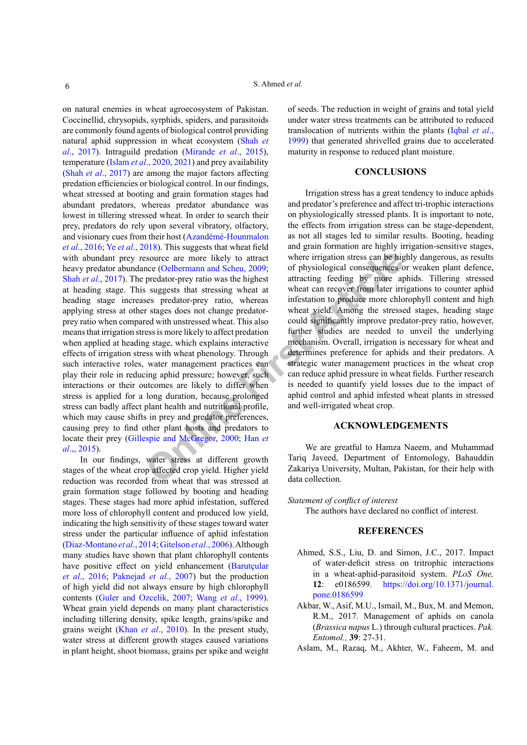**EXERICATE:** Source are more likely to attract where irrigation stress can be higher the coefficient and Scheu, 2009; and the interval atter irrigation sequences o predator-prey ratio was the highest at wheat can recover f on natural enemies in wheat agroecosystem of Pakistan. Coccinellid, chrysopids, syrphids, spiders, and parasitoids are commonly found agents of biological control providing natural aphid suppression in wheat ecosystem ([Shah](#page-8-10) *et al*[., 2017](#page-8-10)). Intraguild predation [\(Mirande](#page-7-16) *et al*., 2015), temperature (Islam *et al*[., 2020](#page-7-17), [2021\)](#page-7-18) and prey availability (Shah *et al*[., 2017\)](#page-8-10) are among the major factors affecting predation efficiencies or biological control. In our findings, wheat stressed at booting and grain formation stages had abundant predators, whereas predator abundance was lowest in tillering stressed wheat. In order to search their prey, predators do rely upon several vibratory, olfactory, and visionary cues from their host (Azandémè-Hounmalon *et al*., 2016; Ye *et al*., 2018). This suggests that wheat field with abundant prey resource are more likely to attract heavy predator abundance (Oelbermann and Scheu, 2009; Shah *et al*[., 2017](#page-8-10)). The predator-prey ratio was the highest at heading stage. This suggests that stressing wheat at heading stage increases predator-prey ratio, whereas applying stress at other stages does not change predatorprey ratio when compared with unstressed wheat. This also means that irrigation stress is more likely to affect predation when applied at heading stage, which explains interactive effects of irrigation stress with wheat phenology. Through such interactive roles, water management practices can play their role in reducing aphid pressure; however, such interactions or their outcomes are likely to differ when stress is applied for a long duration, because prolonged stress can badly affect plant health and nutritional profile, which may cause shifts in prey and predator preferences, causing prey to find other plant hosts and predators to locate their prey (Gillespie and McGregor, 2000; Han *et al*[.,, 2015](#page-6-15)).

In our findings, water stress at different growth stages of the wheat crop affected crop yield. Higher yield reduction was recorded from wheat that was stressed at grain formation stage followed by booting and heading stages. These stages had more aphid infestation, suffered more loss of chlorophyll content and produced low yield, indicating the high sensitivity of these stages toward water stress under the particular influence of aphid infestation [\(Diaz-Montano](#page-6-16) *et al*., 2014; [Gitelson](#page-6-17) *et al*., 2006). Although many studies have shown that plant chlorophyll contents have positive effect on yield enhancement (Barutçular *et al*., 2016; [Paknejad](#page-8-18) *et al*., 2007) but the production of high yield did not always ensure by high chlorophyll contents ([Guler and Ozcelik, 2007](#page-6-18); Wang *et al*., 1999). Wheat grain yield depends on many plant characteristics including tillering density, spike length, grains/spike and grains weight (Khan *et al*[., 2010](#page-7-19)). In the present study, water stress at different growth stages caused variations in plant height, shoot biomass, grains per spike and weight of seeds. The reduction in weight of grains and total yield under water stress treatments can be attributed to reduced translocation of nutrients within the plants [\(Iqbal](#page-7-20) *et al*., [1999](#page-7-20)) that generated shrivelled grains due to accelerated maturity in response to reduced plant moisture.

# **CONCLUSIONS**

Irrigation stress has a great tendency to induce aphids and predator's preference and affect tri-trophic interactions on physiologically stressed plants. It is important to note, the effects from irrigation stress can be stage-dependent, as not all stages led to similar results. Booting, heading and grain formation are highly irrigation-sensitive stages, where irrigation stress can be highly dangerous, as results of physiological consequences or weaken plant defence, attracting feeding by more aphids. Tillering stressed wheat can recover from later irrigations to counter aphid infestation to produce more chlorophyll content and high wheat yield. Among the stressed stages, heading stage could significantly improve predator-prey ratio, however, further studies are needed to unveil the underlying mechanism. Overall, irrigation is necessary for wheat and determines preference for aphids and their predators. A strategic water management practices in the wheat crop can reduce aphid pressure in wheat fields. Further research is needed to quantify yield losses due to the impact of aphid control and aphid infested wheat plants in stressed and well-irrigated wheat crop.

#### **ACKNOWLEDGEMENTS**

We are greatful to Hamza Naeem, and Muhammad Tariq Javeed, Department of Entomology, Bahauddin Zakariya University, Multan, Pakistan, for their help with data collection.

*Statement of conflict of interest*

The authors have declared no conflict of interest.

# **REFERENCES**

- <span id="page-5-2"></span>Ahmed, S.S., Liu, D. and Simon, J.C., 2017. Impact of water-deficit stress on tritrophic interactions in a wheat-aphid-parasitoid system. *PLoS One,* **12**: e0186599. [https://doi.org/10.1371/journal.](https://doi.org/10.1371/journal.pone.0186599) [pone.0186599](https://doi.org/10.1371/journal.pone.0186599)
- <span id="page-5-0"></span>Akbar, W., Asif, M.U., Ismail, M., Bux, M. and Memon, R.M., 2017. Management of aphids on canola (*Brassica napus* L.) through cultural practices. *Pak. Entomol.,* **39**: 27-31.
- <span id="page-5-1"></span>Aslam, M., Razaq, M., Akhter, W., Faheem, M. and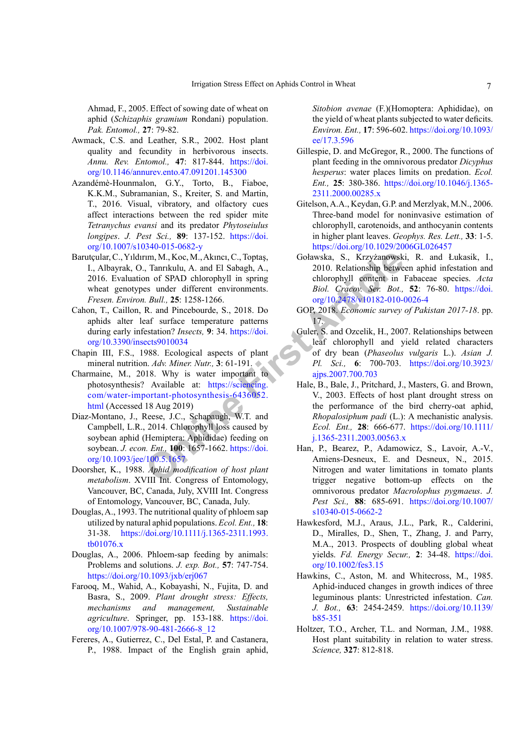Ahmad, F., 2005. Effect of sowing date of wheat on aphid (*Schizaphis gramium* Rondani) population. *Pak. Entomol.,* **27**: 79-82.

- <span id="page-6-9"></span>Awmack, C.S. and Leather, S.R., 2002. Host plant quality and fecundity in herbivorous insects. *Annu. Rev. Entomol.,* **47**: 817-844. [https://doi.](https://doi.org/10.1146/annurev.ento.47.091201.145300) [org/10.1146/annurev.ento.47.091201.145300](https://doi.org/10.1146/annurev.ento.47.091201.145300)
- Azandémè-Hounmalon, G.Y., Torto, B., Fiaboe, K.K.M., Subramanian, S., Kreiter, S. and Martin, T., 2016. Visual, vibratory, and olfactory cues affect interactions between the red spider mite *Tetranychus evansi* and its predator *Phytoseiulus longipes*. *J. Pest Sci.,* **89**: 137-152. [https://doi.](https://doi.org/10.1007/s10340-015-0682-y) [org/10.1007/s10340-015-0682-y](https://doi.org/10.1007/s10340-015-0682-y)
- Barutçular, C., Yıldırım, M., Koc, M., Akıncı, C., Toptaş, I., Albayrak, O., Tanrıkulu, A. and El Sabagh, A., 2016. Evaluation of SPAD chlorophyll in spring wheat genotypes under different environments. *Fresen. Environ. Bull.,* **25**: 1258-1266.
- <span id="page-6-11"></span>Cahon, T., Caillon, R. and Pincebourde, S., 2018. Do aphids alter leaf surface temperature patterns during early infestation? *Insects,* **9**: 34. https://doi. [org/10.3390/insects9010034](https://doi.org/10.3390/insects9010034)
- <span id="page-6-12"></span>Chapin III, F.S., 1988. Ecological aspects of plant mineral nutrition. *Adv. Miner. Nutr.,* **3**: 61-191.
- <span id="page-6-7"></span>Charmaine, M., 2018. Why is water important to photosynthesis? Available at: https://sciencing. [com/water-important-photosynthesis-6436052.](https://sciencing.com/water-important-photosynthesis-6436052.html) [html](https://sciencing.com/water-important-photosynthesis-6436052.html) (Accessed 18 Aug 2019)
- <span id="page-6-16"></span>Diaz-Montano, J., Reese, J.C., Schapaugh, W.T. and Campbell, L.R., 2014. Chlorophyll loss caused by soybean aphid (Hemiptera: Aphididae) feeding on soybean. *J. econ. Ent.,* **100**: 1657-1662. https://doi. [org/10.1093/jee/100.5.1657](https://doi.org/10.1093/jee/100.5.1657)
- <span id="page-6-13"></span>Doorsher, K., 1988. *Aphid modification of host plant metabolism*. XVIII Int. Congress of Entomology, Vancouver, BC, Canada, July, XVIII Int. Congress of Entomology, Vancouver, BC, Canada, July.
- <span id="page-6-5"></span>Douglas, A., 1993. The nutritional quality of phloem sap utilized by natural aphid populations. *Ecol. Ent.,* **18**: 31-38. [https://doi.org/10.1111/j.1365-2311.1993.](https://doi.org/10.1111/j.1365-2311.1993.tb01076.x) [tb01076.x](https://doi.org/10.1111/j.1365-2311.1993.tb01076.x)
- <span id="page-6-3"></span>Douglas, A., 2006. Phloem-sap feeding by animals: Problems and solutions. *J. exp. Bot.,* **57**: 747-754. <https://doi.org/10.1093/jxb/erj067>
- <span id="page-6-8"></span><span id="page-6-4"></span>Farooq, M., Wahid, A., Kobayashi, N., Fujita, D. and Basra, S., 2009. *Plant drought stress: Effects, mechanisms and management, Sustainable agriculture*. Springer, pp. 153-188. [https://doi.](https://doi.org/10.1007/978-90-481-2666-8_12) [org/10.1007/978-90-481-2666-8\\_12](https://doi.org/10.1007/978-90-481-2666-8_12)
- <span id="page-6-6"></span><span id="page-6-0"></span>Fereres, A., Gutierrez, C., Del Estal, P. and Castanera, P., 1988. Impact of the English grain aphid,

*Sitobion avenae* (F.)(Homoptera: Aphididae), on the yield of wheat plants subjected to water deficits. *Environ. Ent.,* **17**: 596-602. [https://doi.org/10.1093/](https://doi.org/10.1093/ee/17.3.596) [ee/17.3.596](https://doi.org/10.1093/ee/17.3.596)

- <span id="page-6-14"></span>Gillespie, D. and McGregor, R., 2000. The functions of plant feeding in the omnivorous predator *Dicyphus hesperus*: water places limits on predation. *Ecol. Ent.,* **25**: 380-386. [https://doi.org/10.1046/j.1365-](https://doi.org/10.1046/j.1365-2311.2000.00285.x) [2311.2000.00285.x](https://doi.org/10.1046/j.1365-2311.2000.00285.x)
- <span id="page-6-17"></span>Gitelson, A.A., Keydan, G.P. and Merzlyak, M.N., 2006. Three-band model for noninvasive estimation of chlorophyll, carotenoids, and anthocyanin contents in higher plant leaves. *Geophys. Res. Lett.,* **33**: 1-5. <https://doi.org/10.1029/2006GL026457>
- Goławska, S., Krzyżanowski, R. and Łukasik, I., 2010. Relationship between aphid infestation and chlorophyll content in Fabaceae species. *Acta Biol. Cracov. Ser. Bot.,* **52**: 76-80. [https://doi.](https://doi.org/10.2478/v10182-010-0026-4) org/10.2478/v10182-010-0026-4
- <span id="page-6-2"></span>GOP, 2018. *Economic survey of Pakistan 2017-18*. pp. 17.
- <span id="page-6-18"></span><span id="page-6-15"></span><span id="page-6-10"></span><span id="page-6-1"></span>Guler, S. and Ozcelik, H., 2007. Relationships between leaf chlorophyll and yield related characters of dry bean (*Phaseolus vulgaris* L.). *Asian J. Pl. Sci.,* **6**: 700-703. [https://doi.org/10.3923/](https://doi.org/10.3923/ajps.2007.700.703) ajps.2007.700.703
- 1m, M., Koc, M., Akıncı, C., Toptaş, Golawska, S., Krzyżanowsk<br>
1. Tanrikulu, A. and El Sabagh, A., 2010. Relationship betwe<br> **Online of SPAD** chlorophyll in spring<br>
the chlorophyll content in<br>
1. *Bull.*, **25**: 1258-1266. Hale, B., Bale, J., Pritchard, J., Masters, G. and Brown, V., 2003. Effects of host plant drought stress on the performance of the bird cherry-oat aphid, *Rhopalosiphum padi* (L.): A mechanistic analysis. *Ecol. Ent.,* **28**: 666-677. [https://doi.org/10.1111/](https://doi.org/10.1111/j.1365-2311.2003.00563.x) j.1365-2311.2003.00563.x
	- Han, P., Bearez, P., Adamowicz, S., Lavoir, A.-V., Amiens-Desneux, E. and Desneux, N., 2015. Nitrogen and water limitations in tomato plants trigger negative bottom-up effects on the omnivorous predator *Macrolophus pygmaeus*. *J. Pest Sci.,* **88**: 685-691. [https://doi.org/10.1007/](https://doi.org/10.1007/s10340-015-0662-2) [s10340-015-0662-2](https://doi.org/10.1007/s10340-015-0662-2)
	- Hawkesford, M.J., Araus, J.L., Park, R., Calderini, D., Miralles, D., Shen, T., Zhang, J. and Parry, M.A., 2013. Prospects of doubling global wheat yields. *Fd. Energy Secur.,* **2**: 34-48. [https://doi.](https://doi.org/10.1002/fes3.15) [org/10.1002/fes3.15](https://doi.org/10.1002/fes3.15)
	- Hawkins, C., Aston, M. and Whitecross, M., 1985. Aphid-induced changes in growth indices of three leguminous plants: Unrestricted infestation. *Can. J. Bot.,* **63**: 2454-2459. [https://doi.org/10.1139/](https://doi.org/10.1139/b85-351) [b85-351](https://doi.org/10.1139/b85-351)
	- Holtzer, T.O., Archer, T.L. and Norman, J.M., 1988. Host plant suitability in relation to water stress. *Science,* **327**: 812-818.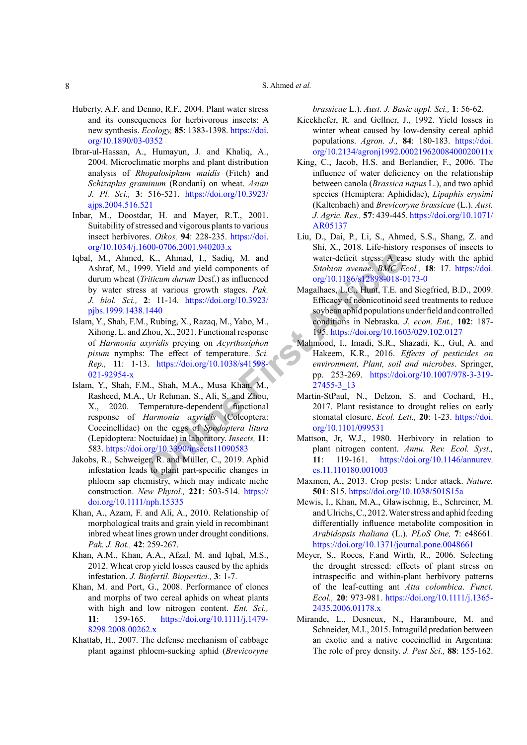- <span id="page-7-2"></span>Huberty, A.F. and Denno, R.F., 2004. Plant water stress and its consequences for herbivorous insects: A new synthesis. *Ecology,* **85**: 1383-1398. [https://doi.](https://doi.org/10.1890/03-0352) [org/10.1890/03-0352](https://doi.org/10.1890/03-0352)
- <span id="page-7-7"></span>Ibrar-ul-Hassan, A., Humayun, J. and Khaliq, A., 2004. Microclimatic morphs and plant distribution analysis of *Rhopalosiphum maidis* (Fitch) and *Schizaphis graminum* (Rondani) on wheat. *Asian J. Pl. Sci.,* **3**: 516-521. [https://doi.org/10.3923/](https://doi.org/10.3923/ajps.2004.516.521) [ajps.2004.516.521](https://doi.org/10.3923/ajps.2004.516.521)
- <span id="page-7-11"></span>Inbar, M., Doostdar, H. and Mayer, R.T., 2001. Suitability of stressed and vigorous plants to various insect herbivores. *Oikos,* **94**: 228-235. [https://doi.](https://doi.org/10.1034/j.1600-0706.2001.940203.x) [org/10.1034/j.1600-0706.2001.940203.x](https://doi.org/10.1034/j.1600-0706.2001.940203.x)
- Iqbal, M., Ahmed, K., Ahmad, I., Sadiq, M. and Ashraf, M., 1999. Yield and yield components of durum wheat (*Triticum durum* Desf.) as influenced by water stress at various growth stages. *Pak. J. biol. Sci.,* **2**: 11-14. https://doi.org/10.3923/ [pjbs.1999.1438.1440](https://doi.org/10.3923/pjbs.1999.1438.1440)
- <span id="page-7-18"></span><span id="page-7-17"></span>Islam, Y., Shah, F.M., Rubing, X., Razaq, M., Yabo, M., Xihong, L. and Zhou, X., 2021. Functional response of *Harmonia axyridis* preying on *Acyrthosiphon pisum* nymphs: The effect of temperature. *Sci. Rep.,* **11**: 1-13. https://doi.org/10.1038/s41598- [021-92954-x](https://doi.org/10.1038/s41598-021-92954-x)
- <span id="page-7-20"></span>K., Ahmad, I., Sadiq, M. and<br>
29. Yield and yield components of<br>
Fiticum durum Desf.) as influenced<br>
22. 11-14. https://doi.org/10.3923/<br>
22. 11-14. https://doi.org/10.3923/<br>
22. 11-14. https://doi.org/10.3923/<br>
25. Effica Islam, Y., Shah, F.M., Shah, M.A., Musa Khan, M., Rasheed, M.A., Ur Rehman, S., Ali, S. and Zhou, X., 2020. Temperature-dependent functional response of *Harmonia axyridis* (Coleoptera: Coccinellidae) on the eggs of *Spodoptera litura* (Lepidoptera: Noctuidae) in laboratory. *Insects,* **11**: 583. <https://doi.org/10.3390/insects11090583>
- Jakobs, R., Schweiger, R. and Müller, C., 2019. Aphid infestation leads to plant part-specific changes in phloem sap chemistry, which may indicate niche construction. *New Phytol.,* **221**: 503-514. [https://](https://doi.org/10.1111/nph.15335) [doi.org/10.1111/nph.15335](https://doi.org/10.1111/nph.15335)
- <span id="page-7-19"></span>Khan, A., Azam, F. and Ali, A., 2010. Relationship of morphological traits and grain yield in recombinant inbred wheat lines grown under drought conditions. *Pak. J. Bot.,* **42**: 259-267.
- <span id="page-7-3"></span>Khan, A.M., Khan, A.A., Afzal, M. and Iqbal, M.S., 2012. Wheat crop yield losses caused by the aphids infestation. *J. Biofertil. Biopestici.,* **3**: 1-7.
- <span id="page-7-13"></span>Khan, M. and Port, G., 2008. Performance of clones and morphs of two cereal aphids on wheat plants with high and low nitrogen content. *Ent. Sci.,* **11**: 159-165. [https://doi.org/10.1111/j.1479-](https://doi.org/10.1111/j.1479-8298.2008.00262.x) [8298.2008.00262.x](https://doi.org/10.1111/j.1479-8298.2008.00262.x)
- <span id="page-7-15"></span>Khattab, H., 2007. The defense mechanism of cabbage plant against phloem-sucking aphid (*Brevicoryne*

<span id="page-7-4"></span>*brassicae* L.). *Aust. J. Basic appl. Sci.,* **1**: 56-62.

- Kieckhefer, R. and Gellner, J., 1992. Yield losses in winter wheat caused by low-density cereal aphid populations. *Agron. J.,* **84**: 180-183. [https://doi.](https://doi.org/10.2134/agronj1992.00021962008400020011x) [org/10.2134/agronj1992.00021962008400020011x](https://doi.org/10.2134/agronj1992.00021962008400020011x)
- <span id="page-7-9"></span>King, C., Jacob, H.S. and Berlandier, F., 2006. The influence of water deficiency on the relationship between canola (*Brassica napus* L.), and two aphid species (Hemiptera: Aphididae), *Lipaphis erysimi* (Kaltenbach) and *Brevicoryne brassicae* (L.). *Aust. J. Agric. Res.,* **57**: 439-445. [https://doi.org/10.1071/](https://doi.org/10.1071/AR05137) [AR05137](https://doi.org/10.1071/AR05137)
- <span id="page-7-8"></span>Liu, D., Dai, P., Li, S., Ahmed, S.S., Shang, Z. and Shi, X., 2018. Life-history responses of insects to water-deficit stress: A case study with the aphid *Sitobion avenae*. *BMC Ecol.,* **18**: 17. [https://doi.](https://doi.org/10.1186/s12898-018-0173-0) org/10.1186/s12898-018-0173-0
- <span id="page-7-5"></span>Magalhaes, L.C., Hunt, T.E. and Siegfried, B.D., 2009. Efficacy of neonicotinoid seed treatments to reduce soybean aphid populations under field and controlled conditions in Nebraska. *J. econ. Ent.,* **102**: 187- 195.<https://doi.org/10.1603/029.102.0127>
- <span id="page-7-6"></span>Mahmood, I., Imadi, S.R., Shazadi, K., Gul, A. and Hakeem, K.R., 2016. *Effects of pesticides on environment, Plant, soil and microbes*. Springer, pp. 253-269. [https://doi.org/10.1007/978-3-319-](https://doi.org/10.1007/978-3-319-27455-3_13) 27455-3\_13
- <span id="page-7-12"></span>Martin-StPaul, N., Delzon, S. and Cochard, H., 2017. Plant resistance to drought relies on early stomatal closure. *Ecol. Lett.,* **20**: 1-23. [https://doi.](https://doi.org/10.1101/099531) org/10.1101/099531
- <span id="page-7-14"></span>Mattson, Jr, W.J., 1980. Herbivory in relation to plant nitrogen content. *Annu. Rev. Ecol. Syst.,* **11**: 119-161. [https://doi.org/10.1146/annurev.](https://doi.org/10.1146/annurev.es.11.110180.001003) es.11.110180.001003
- <span id="page-7-0"></span>Maxmen, A., 2013. Crop pests: Under attack. *Nature.* **501**: S15.<https://doi.org/10.1038/501S15a>
- <span id="page-7-10"></span>Mewis, I., Khan, M.A., Glawischnig, E., Schreiner, M. and Ulrichs, C., 2012. Water stress and aphid feeding differentially influence metabolite composition in *Arabidopsis thaliana* (L.). *PLoS One,* **7**: e48661. <https://doi.org/10.1371/journal.pone.0048661>
- <span id="page-7-1"></span>Meyer, S., Roces, F.and Wirth, R., 2006. Selecting the drought stressed: effects of plant stress on intraspecific and within-plant herbivory patterns of the leaf-cutting ant *Atta colombica*. *Funct. Ecol.,* **20**: 973-981. [https://doi.org/10.1111/j.1365-](https://doi.org/10.1111/j.1365-2435.2006.01178.x) [2435.2006.01178.x](https://doi.org/10.1111/j.1365-2435.2006.01178.x)
- <span id="page-7-16"></span>Mirande, L., Desneux, N., Haramboure, M. and Schneider, M.I., 2015. Intraguild predation between an exotic and a native coccinellid in Argentina: The role of prey density. *J. Pest Sci.,* **88**: 155-162.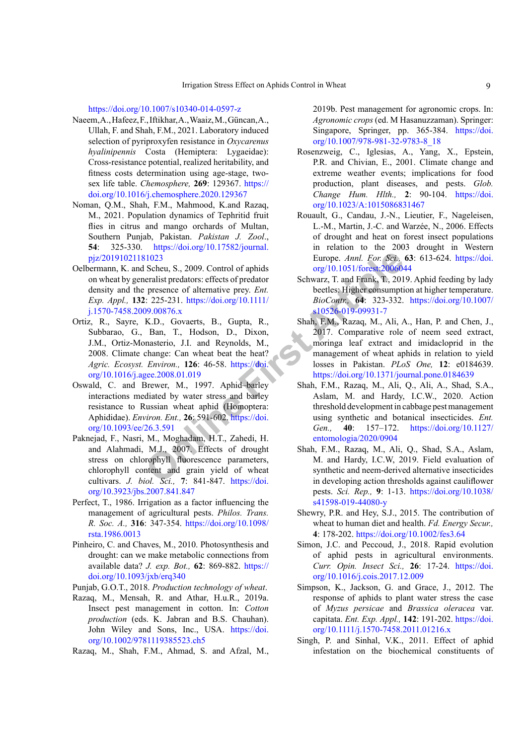<https://doi.org/10.1007/s10340-014-0597-z>

- Naeem, A., Hafeez, F., Iftikhar, A., Waaiz, M., Güncan, A., Ullah, F. and Shah, F.M., 2021. Laboratory induced selection of pyriproxyfen resistance in *Oxycarenus hyalinipennis* Costa (Hemiptera: Lygaeidae): Cross-resistance potential, realized heritability, and fitness costs determination using age-stage, twosex life table. *Chemosphere,* **269**: 129367. [https://](https://doi.org/10.1016/j.chemosphere.2020.129367) [doi.org/10.1016/j.chemosphere.2020.129367](https://doi.org/10.1016/j.chemosphere.2020.129367)
- <span id="page-8-6"></span>Noman, Q.M., Shah, F.M., Mahmood, K.and Razaq, M., 2021. Population dynamics of Tephritid fruit flies in citrus and mango orchards of Multan, Southern Punjab, Pakistan. *Pakistan J. Zool*., **54**: 325-330. [https://doi.org/10.17582/journal.](https://doi.org/10.17582/journal.pjz/20191021181023) [pjz/20191021181023](https://doi.org/10.17582/journal.pjz/20191021181023)
- <span id="page-8-17"></span><span id="page-8-8"></span>Oelbermann, K. and Scheu, S., 2009. Control of aphids on wheat by generalist predators: effects of predator density and the presence of alternative prey. *Ent. Exp. Appl.,* **132**: 225-231. https://doi.org/10.1111/ [j.1570-7458.2009.00876.x](https://doi.org/10.1111/j.1570-7458.2009.00876.x)
- **EXECTE:** Sch[e](https://doi.org/10.1093/ee/26.3.591)u, S., 2009. Control of aphids<br>
Furope. Annl. For: Sct.,<br>
11023<br> **Exercece of alternative present and Frank, T., 201<br>
<b>Presence of alternative present and Frank, T., 201<br>
2: 225-231. https://doi.org/10.1111/** Ortiz, R., Sayre, K.D., Govaerts, B., Gupta, R., Subbarao, G., Ban, T., Hodson, D., Dixon, J.M., Ortiz-Monasterio, J.I. and Reynolds, M., 2008. Climate change: Can wheat beat the heat? *Agric. Ecosyst. Environ.,* **126**: 46-58. https://doi. [org/10.1016/j.agee.2008.01.019](https://doi.org/10.1016/j.agee.2008.01.019)
- <span id="page-8-14"></span>Oswald, C. and Brewer, M., 1997. Aphid–barley interactions mediated by water stress and barley resistance to Russian wheat aphid (Homoptera: Aphididae). *Environ. Ent.,* **26**: 591-602. https://doi. [org/10.1093/ee/26.3.591](https://doi.org/10.1093/ee/26.3.591)
- <span id="page-8-18"></span>Paknejad, F., Nasri, M., Moghadam, H.T., Zahedi, H. and Alahmadi, M.J., 2007. Effects of drought stress on chlorophyll fluorescence parameters, chlorophyll content and grain yield of wheat cultivars. *J. biol. Sci.,* **7**: 841-847. https://doi. [org/10.3923/jbs.2007.841.847](https://doi.org/10.3923/jbs.2007.841.847)
- <span id="page-8-12"></span>Perfect, T., 1986. Irrigation as a factor influencing the management of agricultural pests. *Philos. Trans. R. Soc. A.,* **316**: 347-354. [https://doi.org/10.1098/](https://doi.org/10.1098/rsta.1986.0013) [rsta.1986.0013](https://doi.org/10.1098/rsta.1986.0013)
- <span id="page-8-4"></span>Pinheiro, C. and Chaves, M., 2010. Photosynthesis and drought: can we make metabolic connections from available data? *J. exp. Bot.,* **62**: 869-882. [https://](https://doi.org/10.1093/jxb/erq340) [doi.org/10.1093/jxb/erq340](https://doi.org/10.1093/jxb/erq340)

<span id="page-8-13"></span>Punjab, G.O.T., 2018. *Production technology of wheat*.

<span id="page-8-1"></span>Razaq, M., Mensah, R. and Athar, H.u.R., 2019a. Insect pest management in cotton. In: *Cotton production* (eds. K. Jabran and B.S. Chauhan). John Wiley and Sons, Inc., USA. [https://doi.](https://doi.org/10.1002/9781119385523.ch5) [org/10.1002/9781119385523.ch5](https://doi.org/10.1002/9781119385523.ch5)

<span id="page-8-0"></span>Razaq, M., Shah, F.M., Ahmad, S. and Afzal, M.,

2019b. Pest management for agronomic crops. In: *Agronomic crops* (ed. M Hasanuzzaman). Springer: Singapore, Springer, pp. 365-384. [https://doi.](https://doi.org/10.1007/978-981-32-9783-8_18) [org/10.1007/978-981-32-9783-8\\_18](https://doi.org/10.1007/978-981-32-9783-8_18)

- <span id="page-8-5"></span>Rosenzweig, C., Iglesias, A., Yang, X., Epstein, P.R. and Chivian, E., 2001. Climate change and extreme weather events; implications for food production, plant diseases, and pests. *Glob. Change Hum. Hlth.,* **2**: 90-104. [https://doi.](https://doi.org/10.1023/A:1015086831467) [org/10.1023/A:1015086831467](https://doi.org/10.1023/A:1015086831467)
- Rouault, G., Candau, J.-N., Lieutier, F., Nageleisen, L.-M., Martin, J.-C. and Warzée, N., 2006. Effects of drought and heat on forest insect populations in relation to the 2003 drought in Western Europe. *Annl. For. Sci.,* **63**: 613-624. [https://doi.](https://doi.org/10.1051/forest:2006044) org/10.1051/forest:2006044
- <span id="page-8-11"></span>Schwarz, T. and Frank, T., 2019. Aphid feeding by lady beetles: Higher consumption at higher temperature. *BioContr.,* **64**: 323-332. [https://doi.org/10.1007/](https://doi.org/10.1007/s10526-019-09931-7) s10526-019-09931-7
- <span id="page-8-10"></span>Shah, F.M., Razaq, M., Ali, A., Han, P. and Chen, J., 2017. Comparative role of neem seed extract, moringa leaf extract and imidacloprid in the management of wheat aphids in relation to yield losses in Pakistan. *PLoS One,* **12**: e0184639. <https://doi.org/10.1371/journal.pone.0184639>
- <span id="page-8-3"></span>Shah, F.M., Razaq, M., Ali, Q., Ali, A., Shad, S.A., Aslam, M. and Hardy, I.C.W., 2020. Action threshold development in cabbage pest management using synthetic and botanical insecticides. *Ent. Gen.,* **40**: 157–172. [https://doi.org/10.1127/](https://doi.org/10.1127/entomologia/2020/0904) entomologia/2020/0904
- <span id="page-8-2"></span>Shah, F.M., Razaq, M., Ali, Q., Shad, S.A., Aslam, M. and Hardy, I.C.W, 2019. Field evaluation of synthetic and neem-derived alternative insecticides in developing action thresholds against cauliflower pests. *Sci. Rep.,* **9**: 1-13. [https://doi.org/10.1038/](https://doi.org/10.1038/s41598-019-44080-y) [s41598-019-44080-y](https://doi.org/10.1038/s41598-019-44080-y)
- <span id="page-8-7"></span>Shewry, P.R. and Hey, S.J., 2015. The contribution of wheat to human diet and health. *Fd. Energy Secur.,* **4**: 178-202.<https://doi.org/10.1002/fes3.64>
- <span id="page-8-9"></span>Simon, J.C. and Peccoud, J., 2018. Rapid evolution of aphid pests in agricultural environments. *Curr. Opin. Insect Sci.,* **26**: 17-24. [https://doi.](https://doi.org/10.1016/j.cois.2017.12.009) [org/10.1016/j.cois.2017.12.009](https://doi.org/10.1016/j.cois.2017.12.009)
- <span id="page-8-15"></span>Simpson, K., Jackson, G. and Grace, J., 2012. The response of aphids to plant water stress the case of *Myzus persicae* and *Brassica oleracea* var. capitata. *Ent. Exp. Appl.,* **142**: 191-202. [https://doi.](https://doi.org/10.1111/j.1570-7458.2011.01216.x) [org/10.1111/j.1570-7458.2011.01216.x](https://doi.org/10.1111/j.1570-7458.2011.01216.x)
- <span id="page-8-16"></span>Singh, P. and Sinhal, V.K., 2011. Effect of aphid infestation on the biochemical constituents of